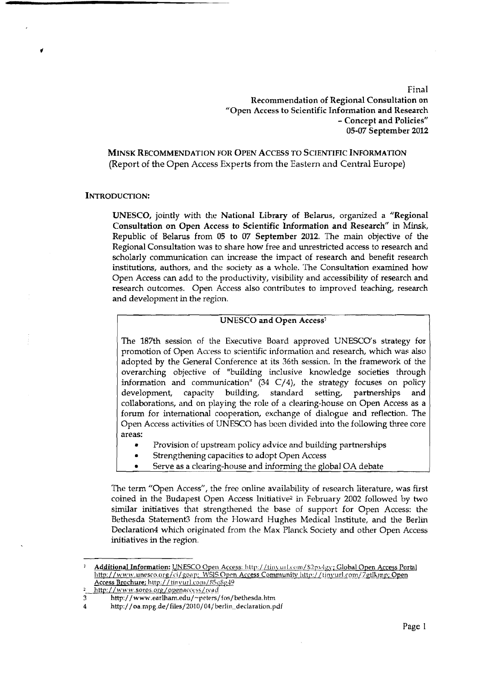Final Recommendation of Regional Consultation on "Open Access to Scientific Information and Research - Concept and Policies" 05-07 September **2012** 

**MINSK RECOMMENDATION FOR OPEN ACCESS TO SCIENTIFIC INFORMATION**  (Report **of** the Open Access Experts from the Eastern and Central Europe)

#### **INTRODUCTION:**

UNESCO, jointly with the National Library of Belarus, organized a "Regional Consultation on **Open** Access to Scientific Information and Research" in **Minsk,**  Republic of Belarus from 05 to 07 September **2012.** The main objective of the Regional Consultation was to share how free and unrestricted access to research and scholarly communication can increase the impact of research and benefit research institutions, authors, and thc society as a whole. The Consultation examined how Open Access can add to the productivity, visibility and accessibility of research and research outcomes. Open Access also contributes to improved teaching, research and development in the region.

# UNESCO and Open Access<sup>1</sup>

The 187th session of the Executive Board approved UNESCO's strategy for promotion of Open Access to scientific information and research, which was also adopted by the General Conference at its 36th session. In the framework of the overarching objective of "building inclusive knowledge societies through information and communication" **(34** C/4), the strategy focuses on policy development, capacity building, standard setting, partnerships and collaborations, and on playing the role of a clearing-house on Open Access as a forum for international cooperation, exchange of dialogue and reflection. The Open Access activities of UNESCO has bcen divided into the following three core areas:

- Provision of upstream policy advice and building partnerships
- Strengthening capacities to adopt Open Access
- Serve as a clearing-house and informing the global OA debate

Thc term "Open Access", the free online availability of research literature, was first coined in the Budapest Open Access Initiative2 in February 2002 followed by two similar initiatives that strengthened the base of support for Open Access: the Bethesda Statement3 from the Howard Hughes Medical Institute, and the Berlin Declaration4 which originated from the Max Planck Society and other Open Access initiatives in the region.

*Additional Information: UNESCO Open Access: http://tinyurl.com/S2px4gy; Global Open Access Portal* Inttp://www.unesco.org/ci/goap; WSIS Open Access Community http://tinyurl.com/7gtlkmp; Open **Access** Brochure; http:/ / tin **\:~11.l.com/85118p&~** 

<sup>2</sup>\_http://www.soros.org/openaccess/read<br>3 http://www.earlham.edu/~peters,

<sup>3</sup> **http:// www7.earlham.edu/-peters/fos/bethesda.hhn** 

<sup>4</sup> http://oa.mpg.de/files/2010/04/berlin\_declaration.pdf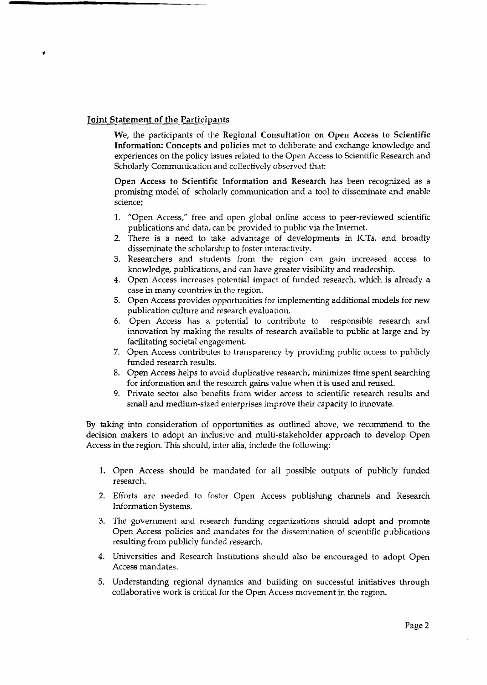# **Joint Statement** of **the** Participants

We, the participants of the Regional Consultation on Open Access to Scientific Information: Concepts and policics met to deliberate and exchange knowledge and experiences on the policy issues related to the Open Access to Scientific Research and Scholarly Communication and collectively observed that:

Open Access to Scientific Information and Research has been recognized as a promising model of scholarly communication and a tool to disseminate and enable science;

- 1. "Open Access," free and open global online access to peer-reviewed scientific publications and data, can be provided to public via the Internet.
- There is a need to take advantage of developments in ICTs, and broadly disseminate the scholarship to foster interactivity.
- Researchers and students from the region can gain increased access to knowledge, publications, and can have greater visibility and readership.
- Open Access increases potential impact of funded research, which is already a case in many countries in the region.
- Open Access provides opportunities for implementing additional models for new publication culture and research evaluation.
- 6. Open Access has a potential to contribute to responsible research and innovation by **making** the results of research available to public at large and by facilitating societal engagement.
- 7. Open Access contributes to transparency by providing public access to publicly funded research results.
- Open Access helps to avoid duplicative research, minimizes time spent searching for information and the research gains value when it is used and reused.
- Private sector also benefits from wider access to scientific research results and small and medium-sized enterprises improve their capacity to innovate.

By taking into consideration of opportunities as outlined above, we recommend to the decision makers to adopt an inclusivc and multi-stakeholder approach to develop Open Access in the region. This should, inter alia, include the following:

- 1. Open Access should be mandated for all possible outputs of publicly funded research.
- 2. Efforts are needed to foster Open Access publishing channels and Research Information Systems.
- 3. The government and research funding organizations should adopt and promote Open Access policies and mandates for the dissemination of scientific publications resulting from publicly funded research.
- **4.** Universities and Research Institutions should also be encouraged to adopt Open Access mandates.
- 5. Understanding regional dynamics and building on successful initiatives through collaborative work is critical for the Open Access movement in the region.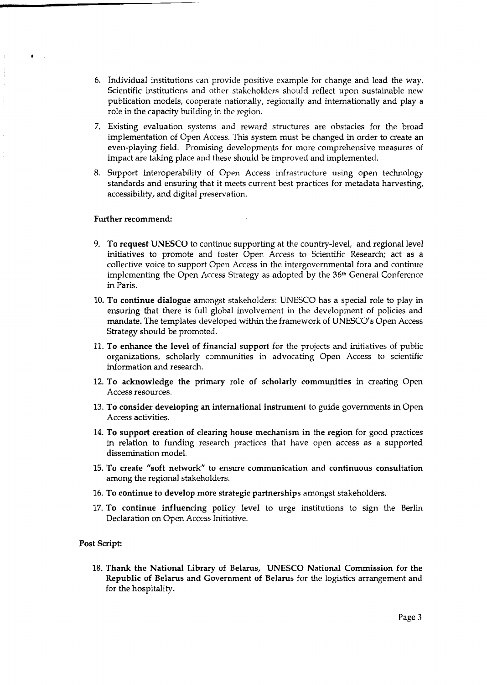- 6. Individual institutions can provide positive example for change and lead the way. Scientific institutions and other stakeholders should reflect upon sustainable new publication models, cooperate nationally, regionally and internationally and play a role in the capacity building in the region.
- 7. Existing evaluation systems and reward structures are obstacles for the broad implementation of Open Access. This system must be changed in order to create an even-playing field. Promising developments for more comprehensive measures of impact are taking place and these should be improved and implemented.
- 8. Support interoperability of Open Access infrastructure using open technology standards and ensuring that it meets current best practices for metadata harvesting, accessibility, and digital preservation.

#### Further recommend:

- 9. To request UNESCO to continuc supporting at the country-level, and regional level initiatives to promote and foster Open Access to Scientific Research; act as a collective voice to support Open Access in the intergovernmental fora and continue implementing the Open Access Strategy as adopted by the **36th** General Conference in Paris.
- 10. To continue dialogue amongst stakeholders: UNESCO has a special role to play in ensuring that there is full global involvement in the development of policies and mandate. The templates developed within the framework of UNESCO's Open Access Strategy should be promoted.
- 11. To enhance the level of financial support for the projects and initiatives of public organizations, scholarly communities in advocating Open Access to scientific information and research.
- 12. To acknowledge the primary role of scholarly communities in creating Open Access resources.
- 13. To consider developing an international instrument to guide governments in Open Access activities.
- 14. To support creation of clearing house mechanism in the region for good practices in relation to funding research practices that have open access as a supported dissemination model.
- 15. To create "soft network" to ensure communication and continuous consultation among the regional stakeholders.
- 16. To continue to develop more strategic partnerships amongst stakeholders.
- 17. To continue influencing policy 1eveI to urge institutions to sign the Berlin Declaration on Open Access Initiative.

### Post Script:

18. Thank the National Library of Belarus, UNESCO National Commission for the Republic of Belarus and Government of Belarus for the logistics arrangement and for the hospitality.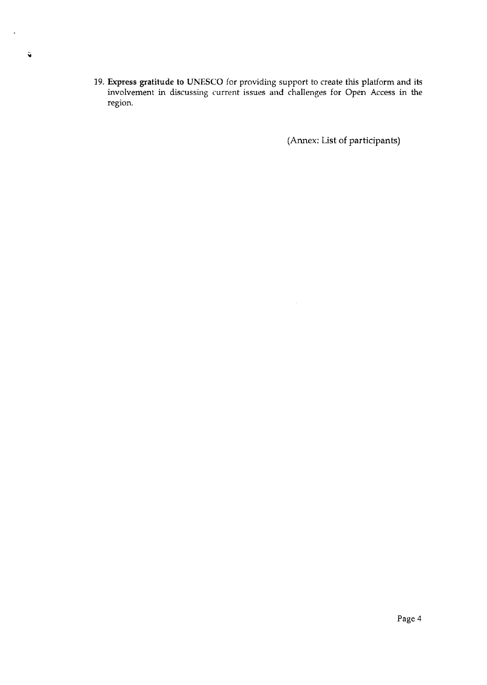19. **Express** gratitude to UNESCO for providing support to create this platform and its involvement in discussing current issues and challenges for Open Access in the region.

(Annex: List of participants)

 $\ddot{\phantom{1}}$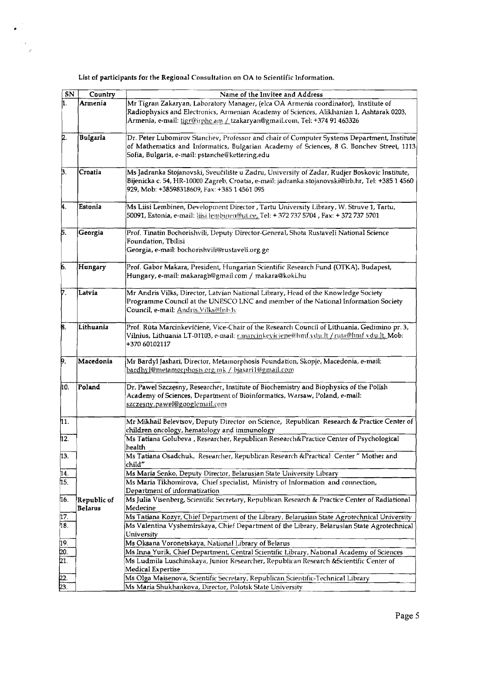List of participants for the Regional Consultation on **OA** to Scientific Information.

 $\bullet$  .  $\mathcal{L}_{\text{max}}$  $\mathcal{L}_{\mathcal{C}}$ 

| SN                     | Country                | Name of the Invitee and Address                                                                                                                                                                                                                              |
|------------------------|------------------------|--------------------------------------------------------------------------------------------------------------------------------------------------------------------------------------------------------------------------------------------------------------|
|                        | Armenia                | Mr Tigran Zakaryan, Laboratory Manager, (elca OA Armenia coordinator), Institute of<br>Radiophysics and Electronics, Armenian Academy of Sciences, Alikhanian 1, Ashtarak 0203,<br>Armenia, e-mail: tigr@irphe.am / tzakaryan@gmail.com, Tel: +374 91 463326 |
| 12.                    | <b>Bulgaria</b>        | Dr. Peter Lubomirov Stanchev, Professor and chair of Computer Systems Department, Institute<br>of Mathematics and Informatics, Bulgarian Academy of Sciences, 8 G. Bonchev Street, 1113<br>Sofia, Bulgaria, e-mail: pstanche@kettering.edu                   |
| þ.                     | Croatia                | Ms Jadranka Stojanovski, Sveučilište u Zadru, University of Zadar, Rudjer Boskovic Institute,<br>Bijenicka c. 54, HR-10000 Zagreb, Croatia, e-mail: jadranka.stojanovski@irb.hr, Tel: +385 1 4560<br>929, Mob: +38598318609, Fax: +385 1 4561 095            |
| K.                     | Estonia                | Ms Liisi Lembinen, Development Director , Tartu University Library, W. Struve 1, Tartu,<br>[50091, Estonia, e-mail: <u>liisi lembinen@ut.ce,</u> Tel: + 372 737 5704 , Fax: + 372 737 5701                                                                   |
| Б.                     | Georgia                | Prof. Tinatin Bochorishvili, Deputy Director-General, Shota Rustaveli National Science<br>Foundation, Tbilisi<br>Georgia, e-mail: bochorishvili@rustaveli.org.ge                                                                                             |
| 6.                     | Hungary                | Prof. Gabor Makara, President, Hungarian Scientific Research Fund (OTKA), Budapest,<br>Hungary, e-mail: makaragb@gmail.com / makara@koki.hu                                                                                                                  |
| 7.                     | Latvia                 | Mr Andris Vilks, Director, Latvian National Library, Head of the Knowledge Society<br>Programme Council at the UNESCO LNC and member of the National Information Society<br>Council, e-mail: Andris.Vilks@Inb.tv                                             |
| 8.                     | Lithuania              | Prof. Rūta Marcinkevičienė, Vice-Chair of the Research Council of Lithuania, Gedimino pr. 3,<br>Vilnius, Lithuania LT-01103, e-mail: r.marcinkeviciene@hmf.ydu.lt /ruta@hmf.ydu.lt, Mob:<br>+370 60102117                                                    |
| þ.                     | Macedonia              | Mr Bardyl Jashari, Director, Metamorphosis Foundation, Skopje, Macedonia, e-mail:<br>bardhyl@metamorphosis.org.mk / bjasari1@gmail.com                                                                                                                       |
| ho.                    | Poland                 | Dr. Pawel Szczęsny, Researcher, Institute of Biochemistry and Biophysics of the Polish<br>Academy of Sciences, Department of Bioinformatics, Warsaw, Poland, e-mail:<br>szczesny.pawel@googlemail.com                                                        |
| h1.                    |                        | Mr Mikhail Belevtsov, Deputy Director on Science, Republican Research & Practice Center of<br>children oncology, hematology and immunology                                                                                                                   |
| h2.                    |                        | Ms Tatiana Golubeva, Researcher, Republican Research&Practice Center of Psychological<br>health                                                                                                                                                              |
| 13.                    |                        | Ms Tatiana Osadchuk, Researcher, Republican Research & Practical Center" Mother and<br>child"                                                                                                                                                                |
| 14.                    |                        | Ms Maria Senko, Deputy Director, Belarusian State University Library                                                                                                                                                                                         |
| 15.                    |                        | Ms Maria Tikhomirova, Chief specialist, Ministry of Information and connection,<br>Department of informatization                                                                                                                                             |
| 16.                    | Republic of<br>Belarus | Ms Julia Visenberg, Scientific Secretary, Republican Research & Practice Center of Radiational<br>Medecine                                                                                                                                                   |
| þ7.<br>18.             |                        | Ms Tatiana Kozyr, Chief Department of the Library, Belarusian State Agrotechnical University<br>Ms Valentina Vyshemirskaya, Chief Department of the Library, Belarusian State Agrotechnical<br>University                                                    |
|                        |                        | Ms Oksana Voronetskaya, National Library of Belarus                                                                                                                                                                                                          |
| $\frac{19}{20}$<br>21. |                        | Ms Inna Yurik, Chief Department, Central Scientific Library, National Academy of Sciences                                                                                                                                                                    |
|                        |                        | Ms Ludmila Luschinskaya, Junior Researcher, Republican Research & Scientific Center of<br>Medical Expertise                                                                                                                                                  |
| $\frac{22}{23}$        |                        | Ms Olga Maisenova, Scientific Secretary, Republican Scientific-Technical Library                                                                                                                                                                             |
|                        |                        | Ms Maria Shukhankova, Director, Polotsk State University                                                                                                                                                                                                     |